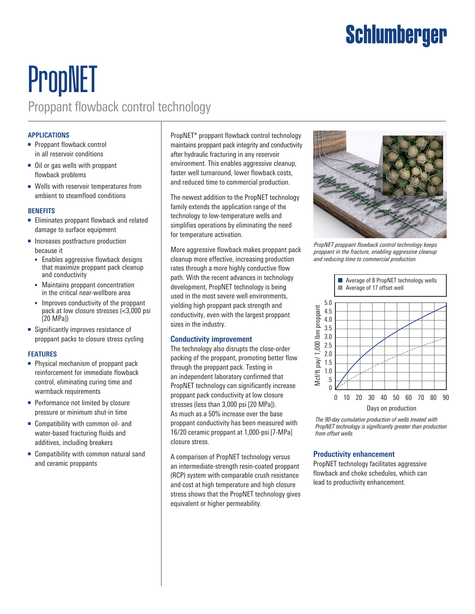# Schlumberger

# PropNET Proppant flowback control technology

#### **APPLICATIONS**

- Proppant flowback control in all reservoir conditions
- Oil or gas wells with proppant flowback problems
- Wells with reservoir temperatures from ambient to steamflood conditions

#### **BENEFITS**

- Eliminates proppant flowback and related damage to surface equipment
- Increases postfracture production because it
	- Enables aggressive flowback designs that maximize proppant pack cleanup and conductivity
	- Maintains proppant concentration in the critical near-wellbore area
	- Improves conductivity of the proppant pack at low closure stresses (<3,000 psi [20 MPa])
- Significantly improves resistance of proppant packs to closure stress cycling

### **FEATURES**

- Physical mechanism of proppant pack reinforcement for immediate flowback control, eliminating curing time and warmback requirements
- Performance not limited by closure pressure or minimum shut-in time
- Compatibility with common oil- and water-based fracturing fluids and additives, including breakers
- Compatibility with common natural sand and ceramic proppants

PropNET\* proppant flowback control technology maintains proppant pack integrity and conductivity after hydraulic fracturing in any reservoir environment. This enables aggressive cleanup, faster well turnaround, lower flowback costs, and reduced time to commercial production.

The newest addition to the PropNET technology family extends the application range of the technology to low-temperature wells and simplifies operations by eliminating the need for temperature activation.

More aggressive flowback makes proppant pack cleanup more effective, increasing production rates through a more highly conductive flow path. With the recent advances in technology development, PropNET technology is being used in the most severe well environments, yielding high proppant pack strength and conductivity, even with the largest proppant sizes in the industry.

#### **Conductivity improvement**

The technology also disrupts the close-order packing of the proppant, promoting better flow through the proppant pack. Testing in an independent laboratory confirmed that PropNET technology can significantly increase proppant pack conductivity at low closure stresses (less than 3,000 psi [20 MPa]). As much as a 50% increase over the base proppant conductivity has been measured with 16/20 ceramic proppant at 1,000-psi [7-MPa] closure stress.

A comparison of PropNET technology versus an intermediate-strength resin-coated proppant (RCP) system with comparable crush resistance and cost at high temperature and high closure stress shows that the PropNET technology gives equivalent or higher permeability.



*PropNET proppant flowback control technology keeps proppant in the fracture, enabling aggressive cleanup and reducing time to commercial production.*



*The 90-day cumulative production of wells treated with PropNET technology is significantly greater than production from offset wells.*

### **Productivity enhancement**

PropNET technology facilitates aggressive flowback and choke schedules, which can lead to productivity enhancement.